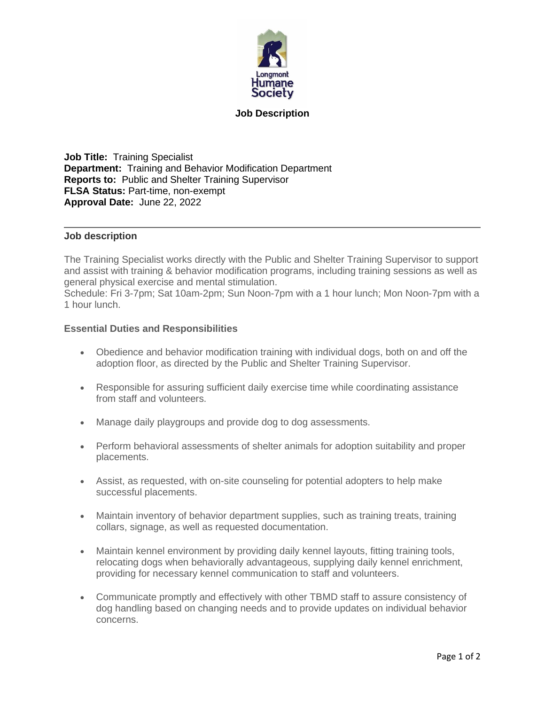

## **Job Description**

**Job Title:** Training Specialist **Department:** Training and Behavior Modification Department **Reports to:** Public and Shelter Training Supervisor **FLSA Status:** Part-time, non-exempt **Approval Date:** June 22, 2022

## **Job description**

The Training Specialist works directly with the Public and Shelter Training Supervisor to support and assist with training & behavior modification programs, including training sessions as well as general physical exercise and mental stimulation.

Schedule: Fri 3-7pm; Sat 10am-2pm; Sun Noon-7pm with a 1 hour lunch; Mon Noon-7pm with a 1 hour lunch.

## **Essential Duties and Responsibilities**

- Obedience and behavior modification training with individual dogs, both on and off the adoption floor, as directed by the Public and Shelter Training Supervisor.
- Responsible for assuring sufficient daily exercise time while coordinating assistance from staff and volunteers.
- Manage daily playgroups and provide dog to dog assessments.
- Perform behavioral assessments of shelter animals for adoption suitability and proper placements.
- Assist, as requested, with on-site counseling for potential adopters to help make successful placements.
- Maintain inventory of behavior department supplies, such as training treats, training collars, signage, as well as requested documentation.
- Maintain kennel environment by providing daily kennel layouts, fitting training tools, relocating dogs when behaviorally advantageous, supplying daily kennel enrichment, providing for necessary kennel communication to staff and volunteers.
- Communicate promptly and effectively with other TBMD staff to assure consistency of dog handling based on changing needs and to provide updates on individual behavior concerns.